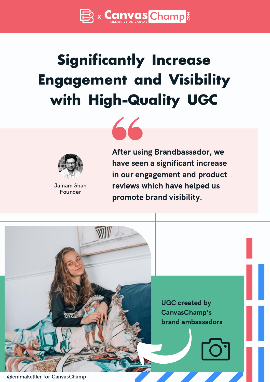

# **Significantly Increase Engagement and Visibility with High-Quality UGC**





Jainam Shah Founder

After using Brandbassador, we have seen a significant increase in our engagement and product reviews which have helped us promote brand visibility.

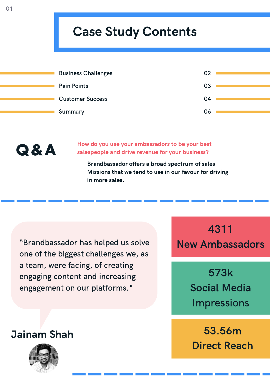## Case Study Contents

| <b>Business Challenges</b> | 02 |
|----------------------------|----|
| Pain Points                | 03 |
| <b>Customer Success</b>    | 04 |
| Summary                    | 06 |



How do you use your ambassadors to be your best salespeople and drive revenue for your business?

Brandbassador offers a broad spectrum of sales Missions that we tend to use in our favour for driving in more sales.

"Brandbassador has helped us solve one of the biggest challenges we, as a team, were facing, of creating engaging content and increasing engagement on our platforms."

4311 New Ambassadors

> 573k Social Media Impressions

53.56m Direct Reach

Jainam Shah

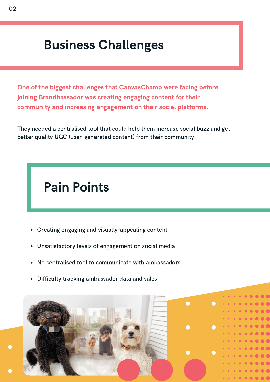### Business Challenges

One of the biggest challenges that CanvasChamp were facing before joining Brandbassador was creating engaging content for their community and increasing engagement on their social platforms.

They needed a centralised tool that could help them increase social buzz and get better quality UGC (user-generated content) from their community.

## Pain Points

- Creating engaging and visually-appealing content
- Unsatisfactory levels of engagement on social media
- No centralised tool to communicate with ambassadors
- Difficulty tracking ambassador data and sales

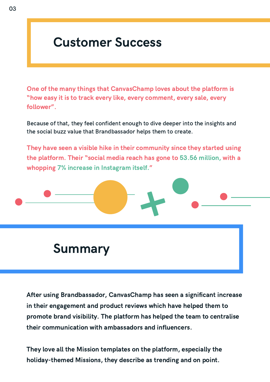#### Customer Success

One of the many things that CanvasChamp loves about the platform is "how easy it is to track every like, every comment, every sale, every follower".

Because of that, they feel confident enough to dive deeper into the insights and the social buzz value that Brandbassador helps them to create.

They have seen a visible hike in their community since they started using the platform. Their "social media reach has gone to 53.56 million, with a whopping 7% increase in Instagram itself."



#### Summary

After using Brandbassador, CanvasChamp has seen a significant increase in their engagement and product reviews which have helped them to promote brand visibility. The platform has helped the team to centralise their communication with ambassadors and influencers.

They love all the Mission templates on the platform, especially the holiday-themed Missions, they describe as trending and on point.